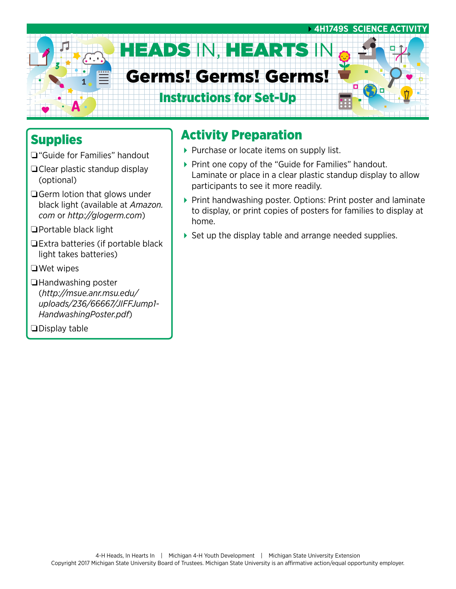

## **Supplies**

- ❏"Guide for Families" handout
- ❏Clear plastic standup display (optional)
- ❏Germ lotion that glows under black light (available at *[Amazon.](http://Amazon.com) [com](http://Amazon.com)* or *<http://glogerm.com>*)
- ❏Portable black light
- ❏Extra batteries (if portable black light takes batteries)
- ❏Wet wipes
- ❏Handwashing poster (*[http://msue.anr.msu.edu/](http://msue.anr.msu.edu/uploads/236/66667/JIFFJump1-HandwashingPoster.pdf) [uploads/236/66667/JIFFJump1-](http://msue.anr.msu.edu/uploads/236/66667/JIFFJump1-HandwashingPoster.pdf) [HandwashingPoster.pdf](http://msue.anr.msu.edu/uploads/236/66667/JIFFJump1-HandwashingPoster.pdf)*)

❏Display table

## Activity Preparation

- Purchase or locate items on supply list.
- ▶ Print one copy of the "Guide for Families" handout. Laminate or place in a clear plastic standup display to allow participants to see it more readily.
- ▶ Print handwashing poster. Options: Print poster and laminate to display, or print copies of posters for families to display at home.
- ▶ Set up the display table and arrange needed supplies.